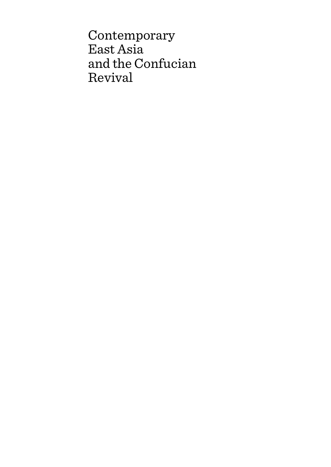Contemporary East Asia and the Confucian Revival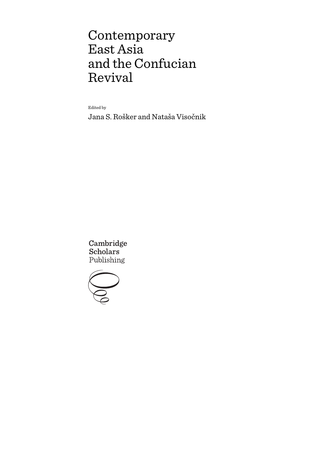# Contemporary East Asia and the Confucian Revival

Edited by

Jana S. Rošker and Nataša Visočnik

Cambridge **Scholars** Publishing

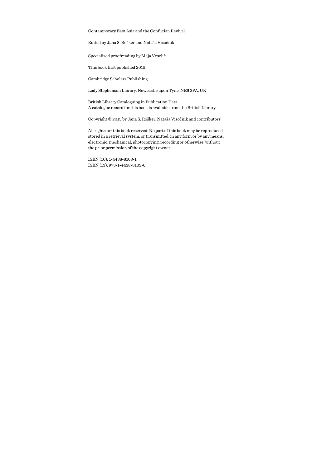Contemporary East Asia and the Confucian Revival

Edited by Jana S. Rošker and Nataša Visočnik

Specialized proofreading by Maja Veselič

This book first published 2015

Cambridge Scholars Publishing

Lady Stephenson Library, Newcastle upon Tyne, NE6 2PA, UK

British Library Cataloguing in Publication Data A catalogue record for this book is available from the British Library

Copyright © 2015 by Jana S. Rošker, Nataša Visočnik and contributors

All rights for this book reserved. No part of this book may be reproduced, stored in a retrieval system, or transmitted, in any form or by any means, electronic, mechanical, photocopying, recording or otherwise, without the prior permission of the copyright owner.

ISBN (10): 1-4438-8103-1 ISBN (13): 978-1-4438-8103-6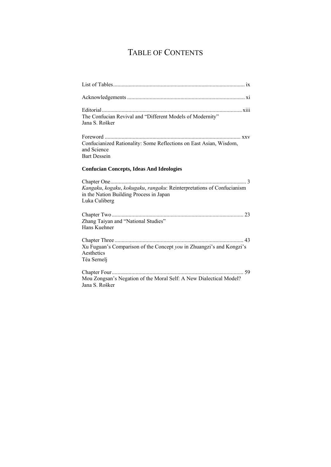## TABLE OF CONTENTS

| The Confucian Revival and "Different Models of Modernity"<br>Jana S. Rošker                                                       |
|-----------------------------------------------------------------------------------------------------------------------------------|
| Confucianized Rationality: Some Reflections on East Asian, Wisdom,<br>and Science<br><b>Bart Dessein</b>                          |
| <b>Confucian Concepts, Ideas And Ideologies</b>                                                                                   |
| Kangaku, kogaku, kokugaku, rangaku: Reinterpretations of Confucianism<br>in the Nation Building Process in Japan<br>Luka Culiberg |
| Zhang Taiyan and "National Studies"<br>Hans Kuehner                                                                               |
| Xu Fuguan's Comparison of the Concept you in Zhuangzi's and Kongzi's<br>Aesthetics<br>Téa Sernelj                                 |
| Mou Zongsan's Negation of the Moral Self: A New Dialectical Model?<br>Jana S. Rošker                                              |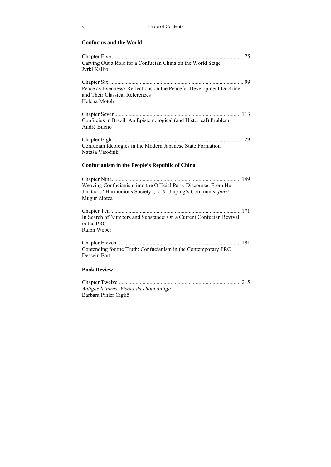### **Confucius and the World**

| Carving Out a Role for a Confucian China on the World Stage<br>Jyrki Kallio                                                                        |  |
|----------------------------------------------------------------------------------------------------------------------------------------------------|--|
| Peace as Evenness? Reflections on the Peaceful Development Doctrine                                                                                |  |
| and Their Classical References<br>Helena Motoh                                                                                                     |  |
|                                                                                                                                                    |  |
| Confucius in Brazil: An Epistemological (and Historical) Problem<br>André Bueno                                                                    |  |
|                                                                                                                                                    |  |
| Confucian Ideologies in the Modern Japanese State Formation<br>Nataša Visočnik                                                                     |  |
| <b>Confucianism in the People's Republic of China</b>                                                                                              |  |
| Weaving Confucianism into the Official Party Discourse: From Hu<br>Jinatao's "Harmonious Society", to Xi Jinping's Communist junzi<br>Mugur Zlotea |  |
|                                                                                                                                                    |  |
| In Search of Numbers and Substance: On a Current Confucian Revival<br>in the PRC<br>Ralph Weber                                                    |  |
| Contending for the Truth: Confucianism in the Contemporary PRC                                                                                     |  |
| Dessein Bart                                                                                                                                       |  |
| <b>Book Review</b>                                                                                                                                 |  |
|                                                                                                                                                    |  |
| Antigas leituras. Visões da china antiga                                                                                                           |  |
| Barbara Pihler Ciglič                                                                                                                              |  |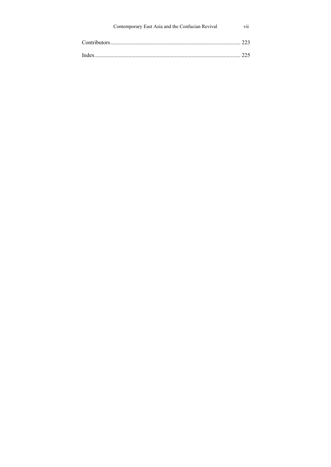| Contemporary East Asia and the Confucian Revival | $\cdot$ .<br><b>V11</b> |
|--------------------------------------------------|-------------------------|
|                                                  |                         |
|                                                  |                         |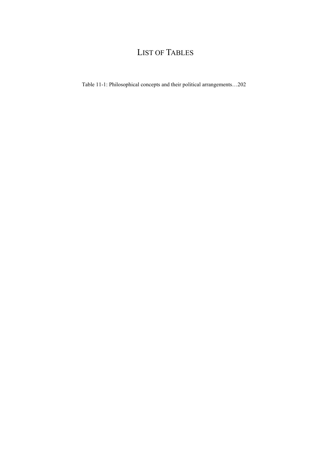## LIST OF TABLES

Table 11-1: Philosophical concepts and their political arrangements…202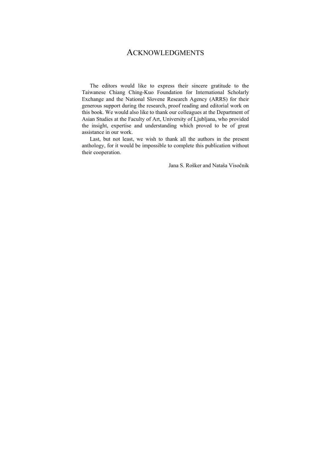## ACKNOWLEDGMENTS

The editors would like to express their sincere gratitude to the Taiwanese Chiang Ching-Kuo Foundation for International Scholarly Exchange and the National Slovene Research Agency (ARRS) for their generous support during the research, proof reading and editorial work on this book. We would also like to thank our colleagues at the Department of Asian Studies at the Faculty of Art, University of Ljubljana, who provided the insight, expertise and understanding which proved to be of great assistance in our work.

Last, but not least, we wish to thank all the authors in the present anthology, for it would be impossible to complete this publication without their cooperation.

Jana S. Rošker and Nataša Visočnik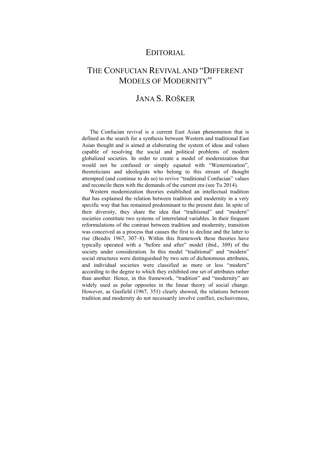## EDITORIAL

## THE CONFUCIAN REVIVAL AND "DIFFERENT MODELS OF MODERNITY"

## JANA S. ROŠKER

The Confucian revival is a current East Asian phenomenon that is defined as the search for a synthesis between Western and traditional East Asian thought and is aimed at elaborating the system of ideas and values capable of resolving the social and political problems of modern globalized societies. In order to create a model of modernization that would not be confused or simply equated with "Westernization", theoreticians and ideologists who belong to this stream of thought attempted (and continue to do so) to revive "traditional Confucian" values and reconcile them with the demands of the current era (see Tu 2014).

Western modernization theories established an intellectual tradition that has explained the relation between tradition and modernity in a very specific way that has remained predominant to the present date. In spite of their diversity, they share the idea that "traditional" and "modern" societies constitute two systems of interrelated variables. In their frequent reformulations of the contrast between tradition and modernity, transition was conceived as a process that causes the first to decline and the latter to rise (Bendix 1967, 307–8). Within this framework these theories have typically operated with a "before and after" model (ibid., 309) of the society under consideration. In this model "traditional" and "modern" social structures were distinguished by two sets of dichotomous attributes, and individual societies were classified as more or less "modern" according to the degree to which they exhibited one set of attributes rather than another. Hence, in this framework, "tradition" and "modernity" are widely used as polar opposites in the linear theory of social change. However, as Gusfield (1967, 351) clearly showed, the relations between tradition and modernity do not necessarily involve conflict, exclusiveness,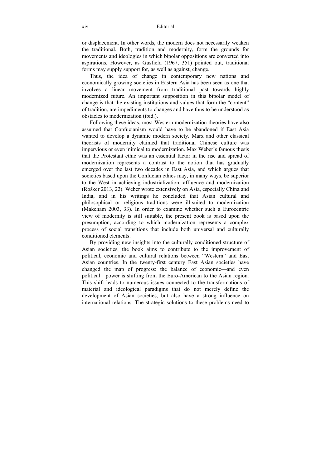or displacement. In other words, the modern does not necessarily weaken the traditional. Both, tradition and modernity, form the grounds for movements and ideologies in which bipolar oppositions are converted into aspirations. However, as Gusfield (1967, 351) pointed out, traditional forms may supply support for, as well as against, change.

Thus, the idea of change in contemporary new nations and economically growing societies in Eastern Asia has been seen as one that involves a linear movement from traditional past towards highly modernized future. An important supposition in this bipolar model of change is that the existing institutions and values that form the "content" of tradition, are impediments to changes and have thus to be understood as obstacles to modernization (ibid.).

Following these ideas, most Western modernization theories have also assumed that Confucianism would have to be abandoned if East Asia wanted to develop a dynamic modern society. Marx and other classical theorists of modernity claimed that traditional Chinese culture was impervious or even inimical to modernization. Max Weber's famous thesis that the Protestant ethic was an essential factor in the rise and spread of modernization represents a contrast to the notion that has gradually emerged over the last two decades in East Asia, and which argues that societies based upon the Confucian ethics may, in many ways, be superior to the West in achieving industrialization, affluence and modernization (Rošker 2013, 22). Weber wrote extensively on Asia, especially China and India, and in his writings he concluded that Asian cultural and philosophical or religious traditions were ill-suited to modernization (Makeham 2003, 33). In order to examine whether such a Eurocentric view of modernity is still suitable, the present book is based upon the presumption, according to which modernization represents a complex process of social transitions that include both universal and culturally conditioned elements.

By providing new insights into the culturally conditioned structure of Asian societies, the book aims to contribute to the improvement of political, economic and cultural relations between "Western" and East Asian countries. In the twenty-first century East Asian societies have changed the map of progress: the balance of economic––and even political––power is shifting from the Euro-American to the Asian region. This shift leads to numerous issues connected to the transformations of material and ideological paradigms that do not merely define the development of Asian societies, but also have a strong influence on international relations. The strategic solutions to these problems need to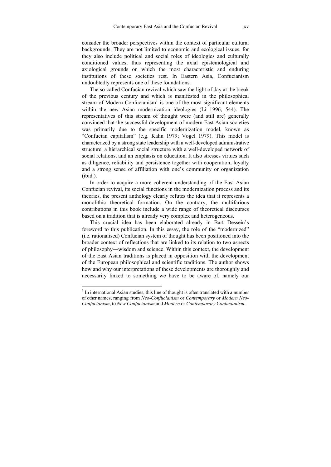consider the broader perspectives within the context of particular cultural backgrounds. They are not limited to economic and ecological issues, for they also include political and social roles of ideologies and culturally conditioned values, thus representing the axial epistemological and axiological grounds on which the most characteristic and enduring institutions of these societies rest. In Eastern Asia, Confucianism undoubtedly represents one of these foundations.

The so-called Confucian revival which saw the light of day at the break of the previous century and which is manifested in the philosophical stream of Modern Confucianism<sup>1</sup> is one of the most significant elements within the new Asian modernization ideologies (Li 1996, 544). The representatives of this stream of thought were (and still are) generally convinced that the successful development of modern East Asian societies was primarily due to the specific modernization model, known as "Confucian capitalism" (e.g. Kahn 1979; Vogel 1979). This model is characterized by a strong state leadership with a well-developed administrative structure, a hierarchical social structure with a well-developed network of social relations, and an emphasis on education. It also stresses virtues such as diligence, reliability and persistence together with cooperation, loyalty and a strong sense of affiliation with one's community or organization (ibid.).

In order to acquire a more coherent understanding of the East Asian Confucian revival, its social functions in the modernization process and its theories, the present anthology clearly refutes the idea that it represents a monolithic theoretical formation. On the contrary, the multifarious contributions in this book include a wide range of theoretical discourses based on a tradition that is already very complex and heterogeneous.

This crucial idea has been elaborated already in Bart Dessein's foreword to this publication. In this essay, the role of the "modernized" (i.e. rationalised) Confucian system of thought has been positioned into the broader context of reflections that are linked to its relation to two aspects of philosophy––wisdom and science. Within this context, the development of the East Asian traditions is placed in opposition with the development of the European philosophical and scientific traditions. The author shows how and why our interpretations of these developments are thoroughly and necessarily linked to something we have to be aware of, namely our

 $\overline{a}$ 

<sup>&</sup>lt;sup>1</sup> In international Asian studies, this line of thought is often translated with a number of other names, ranging from *Neo-Confucianism* or *Contemporary* or *Modern Neo-Confucianism*, to *New Confucianism* and *Modern* or *Contemporary Confucianism.*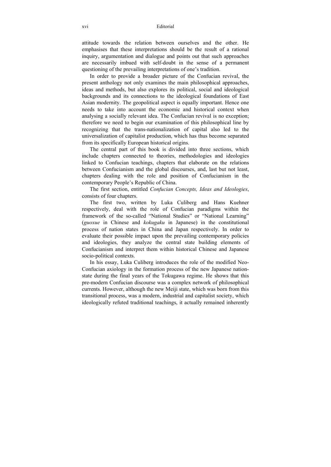#### xvi Editorial

attitude towards the relation between ourselves and the other. He emphasises that these interpretations should be the result of a rational inquiry, argumentation and dialogue and points out that such approaches are necessarily imbued with self-doubt in the sense of a permanent questioning of the prevailing interpretations of one's tradition.

In order to provide a broader picture of the Confucian revival, the present anthology not only examines the main philosophical approaches, ideas and methods, but also explores its political, social and ideological backgrounds and its connections to the ideological foundations of East Asian modernity. The geopolitical aspect is equally important. Hence one needs to take into account the economic and historical context when analysing a socially relevant idea. The Confucian revival is no exception; therefore we need to begin our examination of this philosophical line by recognizing that the trans-nationalization of capital also led to the universalization of capitalist production, which has thus become separated from its specifically European historical origins.

The central part of this book is divided into three sections, which include chapters connected to theories, methodologies and ideologies linked to Confucian teachings, chapters that elaborate on the relations between Confucianism and the global discourses, and, last but not least, chapters dealing with the role and position of Confucianism in the contemporary People's Republic of China.

The first section, entitled *Confucian Concepts, Ideas and Ideologies*, consists of four chapters.

The first two, written by Luka Culiberg and Hans Kuehner respectively, deal with the role of Confucian paradigms within the framework of the so-called "National Studies" or "National Learning" (*guoxue* in Chinese and *kokugaku* in Japanese) in the constitutional process of nation states in China and Japan respectively. In order to evaluate their possible impact upon the prevailing contemporary policies and ideologies, they analyze the central state building elements of Confucianism and interpret them within historical Chinese and Japanese socio-political contexts.

In his essay, Luka Culiberg introduces the role of the modified Neo-Confucian axiology in the formation process of the new Japanese nationstate during the final years of the Tokugawa regime. He shows that this pre-modern Confucian discourse was a complex network of philosophical currents. However, although the new Meiji state, which was born from this transitional process, was a modern, industrial and capitalist society, which ideologically refuted traditional teachings, it actually remained inherently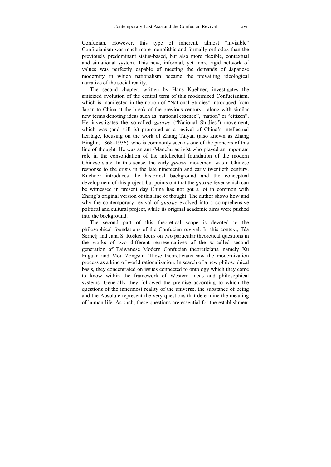Confucian. However, this type of inherent, almost "invisible" Confucianism was much more monolithic and formally orthodox than the previously predominant status-based, but also more flexible, contextual and situational system. This new, informal, yet more rigid network of values was perfectly capable of meeting the demands of Japanese modernity in which nationalism became the prevailing ideological narrative of the social reality.

The second chapter, written by Hans Kuehner, investigates the sinicized evolution of the central term of this modernized Confucianism, which is manifested in the notion of "National Studies" introduced from Japan to China at the break of the previous century––along with similar new terms denoting ideas such as "national essence", "nation" or "citizen". He investigates the so-called *guoxue* ("National Studies") movement, which was (and still is) promoted as a revival of China's intellectual heritage, focusing on the work of Zhang Taiyan (also known as Zhang Binglin, 1868–1936), who is commonly seen as one of the pioneers of this line of thought. He was an anti-Manchu activist who played an important role in the consolidation of the intellectual foundation of the modern Chinese state. In this sense, the early *guoxue* movement was a Chinese response to the crisis in the late nineteenth and early twentieth century. Kuehner introduces the historical background and the conceptual development of this project, but points out that the *guoxue* fever which can be witnessed in present day China has not got a lot in common with Zhang's original version of this line of thought. The author shows how and why the contemporary revival of *guoxue* evolved into a comprehensive political and cultural project, while its original academic aims were pushed into the background.

The second part of this theoretical scope is devoted to the philosophical foundations of the Confucian revival. In this context, Téa Sernelj and Jana S. Rošker focus on two particular theoretical questions in the works of two different representatives of the so-called second generation of Taiwanese Modern Confucian theoreticians, namely Xu Fuguan and Mou Zongsan. These theoreticians saw the modernization process as a kind of world rationalization. In search of a new philosophical basis, they concentrated on issues connected to ontology which they came to know within the framework of Western ideas and philosophical systems. Generally they followed the premise according to which the questions of the innermost reality of the universe, the substance of being and the Absolute represent the very questions that determine the meaning of human life. As such, these questions are essential for the establishment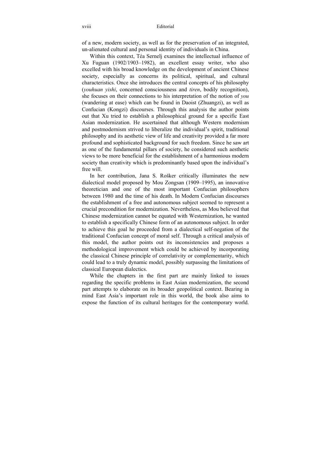of a new, modern society, as well as for the preservation of an integrated, un-alienated cultural and personal identity of individuals in China.

Within this context, Téa Sernelj examines the intellectual influence of Xu Fuguan (1902/1903–1982), an excellent essay writer, who also excelled with his broad knowledge on the development of ancient Chinese society, especially as concerns its political, spiritual, and cultural characteristics. Once she introduces the central concepts of his philosophy (*youhuan yishi*, concerned consciousness and *tiren*, bodily recognition), she focuses on their connections to his interpretation of the notion of *you* (wandering at ease) which can be found in Daoist (Zhuangzi), as well as Confucian (Kongzi) discourses. Through this analysis the author points out that Xu tried to establish a philosophical ground for a specific East Asian modernization. He ascertained that although Western modernism and postmodernism strived to liberalize the individual's spirit, traditional philosophy and its aesthetic view of life and creativity provided a far more profound and sophisticated background for such freedom. Since he saw art as one of the fundamental pillars of society, he considered such aesthetic views to be more beneficial for the establishment of a harmonious modern society than creativity which is predominantly based upon the individual's free will

In her contribution, Jana S. Rošker critically illuminates the new dialectical model proposed by Mou Zongsan (1909–1995), an innovative theoretician and one of the most important Confucian philosophers between 1980 and the time of his death. In Modern Confucian discourses the establishment of a free and autonomous subject seemed to represent a crucial precondition for modernization. Nevertheless, as Mou believed that Chinese modernization cannot be equated with Westernization, he wanted to establish a specifically Chinese form of an autonomous subject. In order to achieve this goal he proceeded from a dialectical self-negation of the traditional Confucian concept of moral self. Through a critical analysis of this model, the author points out its inconsistencies and proposes a methodological improvement which could be achieved by incorporating the classical Chinese principle of correlativity or complementarity, which could lead to a truly dynamic model, possibly surpassing the limitations of classical European dialectics.

While the chapters in the first part are mainly linked to issues regarding the specific problems in East Asian modernization, the second part attempts to elaborate on its broader geopolitical context. Bearing in mind East Asia's important role in this world, the book also aims to expose the function of its cultural heritages for the contemporary world.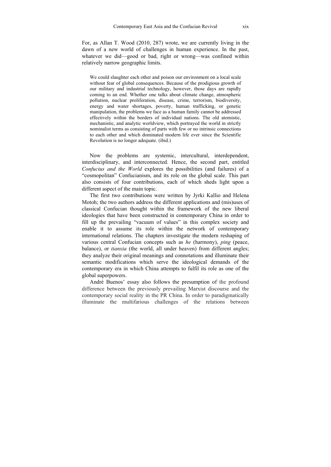For, as Allan T. Wood (2010, 287) wrote, we are currently living in the dawn of a new world of challenges in human experience. In the past, whatever we did—good or bad, right or wrong—was confined within relatively narrow geographic limits.

We could slaughter each other and poison our environment on a local scale without fear of global consequences. Because of the prodigious growth of our military and industrial technology, however, those days are rapidly coming to an end. Whether one talks about climate change, atmospheric pollution, nuclear proliferation, disease, crime, terrorism, biodiversity, energy and water shortages, poverty, human trafficking, or genetic manipulation, the problems we face as a human family cannot be addressed effectively within the borders of individual nations. The old atomistic, mechanistic, and analytic worldview, which portrayed the world in strictly nominalist terms as consisting of parts with few or no intrinsic connections to each other and which dominated modern life ever since the Scientific Revolution is no longer adequate. (ibid.)

Now the problems are systemic, intercultural, interdependent, interdisciplinary, and interconnected. Hence, the second part, entitled *Confucius and the World* explores the possibilities (and failures) of a "cosmopolitan" Confucianism, and its role on the global scale. This part also consists of four contributions, each of which sheds light upon a different aspect of the main topic.

The first two contributions were written by Jyrki Kallio and Helena Motoh; the two authors address the different applications and (mis)uses of classical Confucian thought within the framework of the new liberal ideologies that have been constructed in contemporary China in order to fill up the prevailing "vacuum of values" in this complex society and enable it to assume its role within the network of contemporary international relations. The chapters investigate the modern reshaping of various central Confucian concepts such as *he* (harmony), *ping* (peace, balance), or *tianxia* (the world, all under heaven) from different angles; they analyze their original meanings and connotations and illuminate their semantic modifications which serve the ideological demands of the contemporary era in which China attempts to fulfil its role as one of the global superpowers.

André Buenos' essay also follows the presumption of the profound difference between the previously prevailing Marxist discourse and the contemporary social reality in the PR China. In order to paradigmatically illuminate the multifarious challenges of the relations between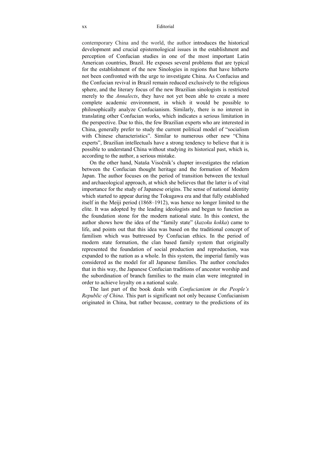#### xx Editorial

contemporary China and the world, the author introduces the historical development and crucial epistemological issues in the establishment and perception of Confucian studies in one of the most important Latin American countries, Brazil. He exposes several problems that are typical for the establishment of the new Sinologies in regions that have hitherto not been confronted with the urge to investigate China. As Confucius and the Confucian revival in Brazil remain reduced exclusively to the religious sphere, and the literary focus of the new Brazilian sinologists is restricted merely to the *Annalects*, they have not yet been able to create a more complete academic environment, in which it would be possible to philosophically analyze Confucianism. Similarly, there is no interest in translating other Confucian works, which indicates a serious limitation in the perspective. Due to this, the few Brazilian experts who are interested in China, generally prefer to study the current political model of "socialism with Chinese characteristics". Similar to numerous other new "China experts", Brazilian intellectuals have a strong tendency to believe that it is possible to understand China without studying its historical past, which is, according to the author, a serious mistake.

On the other hand, Nataša Visočnik's chapter investigates the relation between the Confucian thought heritage and the formation of Modern Japan. The author focuses on the period of transition between the textual and archaeological approach, at which she believes that the latter is of vital importance for the study of Japanese origins. The sense of national identity which started to appear during the Tokugawa era and that fully established itself in the Meiji period (1868–1912), was hence no longer limited to the elite. It was adopted by the leading ideologists and begun to function as the foundation stone for the modern national state. In this context, the author shows how the idea of the "family state" (*kazoku kokka*) came to life, and points out that this idea was based on the traditional concept of familism which was buttressed by Confucian ethics. In the period of modern state formation, the clan based family system that originally represented the foundation of social production and reproduction, was expanded to the nation as a whole. In this system, the imperial family was considered as the model for all Japanese families. The author concludes that in this way, the Japanese Confucian traditions of ancestor worship and the subordination of branch families to the main clan were integrated in order to achieve loyalty on a national scale.

The last part of the book deals with *Confucianism in the People's Republic of China*. This part is significant not only because Confucianism originated in China, but rather because, contrary to the predictions of its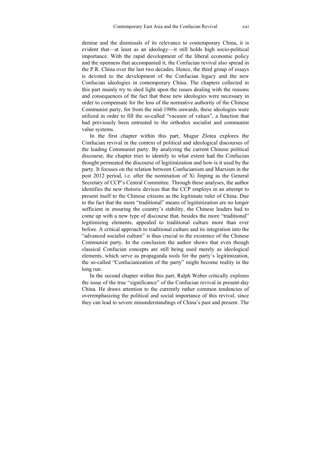demise and the dismissals of its relevance to contemporary China, it is evident that––at least as an ideology––it still holds high socio-political importance. With the rapid development of the liberal economic policy and the openness that accompanied it, the Confucian revival also spread in the P.R. China over the last two decades. Hence, the third group of essays is devoted to the development of the Confucian legacy and the new Confucian ideologies in contemporary China. The chapters collected in this part mainly try to shed light upon the issues dealing with the reasons and consequences of the fact that these new ideologies were necessary in order to compensate for the loss of the normative authority of the Chinese Communist party, for from the mid-1980s onwards, these ideologies were utilized in order to fill the so-called "vacuum of values", a function that had previously been entrusted to the orthodox socialist and communist value systems.

In the first chapter within this part, Mugur Zlotea explores the Confucian revival in the context of political and ideological discourses of the leading Communist party. By analyzing the current Chinese political discourse, the chapter tries to identify to what extent had the Confucian thought permeated the discourse of legitimization and how is it used by the party. It focuses on the relation between Confucianism and Marxism in the post 2012 period, i.e. after the nomination of Xi Jinping as the General Secretary of CCP's Central Committee. Through these analyses, the author identifies the new rhetoric devices that the CCP employs in an attempt to present itself to the Chinese citizens as the legitimate ruler of China. Due to the fact that the more "traditional" means of legitimization are no longer sufficient in ensuring the country's stability, the Chinese leaders had to come up with a new type of discourse that, besides the more "traditional" legitimising elements, appealed to traditional culture more than ever before. A critical approach to traditional culture and its integration into the "advanced socialist culture" is thus crucial to the existence of the Chinese Communist party. In the conclusion the author shows that even though classical Confucian concepts are still being used merely as ideological elements, which serve as propaganda tools for the party's legitimization, the so-called "Confucianization of the party" might become reality in the long run.

In the second chapter within this part, Ralph Weber critically explores the issue of the true "significance" of the Confucian revival in present-day China. He draws attention to the currently rather common tendencies of overemphasizing the political and social importance of this revival, since they can lead to severe misunderstandings of China's past and present. The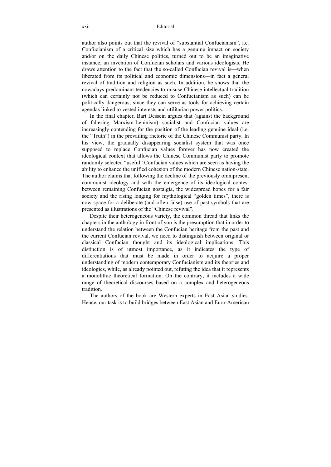#### xxii Editorial

author also points out that the revival of "substantial Confucianism", i.e. Confucianism of a critical size which has a genuine impact on society and/or on the daily Chinese politics, turned out to be an imaginative instance, an invention of Confucian scholars and various ideologists. He draws attention to the fact that the so-called Confucian revival is––when liberated from its political and economic dimensions––in fact a general revival of tradition and religion as such. In addition, he shows that the nowadays predominant tendencies to misuse Chinese intellectual tradition (which can certainly not be reduced to Confucianism as such) can be politically dangerous, since they can serve as tools for achieving certain agendas linked to vested interests and utilitarian power politics.

In the final chapter, Bart Dessein argues that (against the background of faltering Marxism-Leninism) socialist and Confucian values are increasingly contending for the position of the leading genuine ideal (i.e. the "Truth") in the prevailing rhetoric of the Chinese Communist party. In his view, the gradually disappearing socialist system that was once supposed to replace Confucian values forever has now created the ideological context that allows the Chinese Communist party to promote randomly selected "useful" Confucian values which are seen as having the ability to enhance the unified cohesion of the modern Chinese nation-state. The author claims that following the decline of the previously omnipresent communist ideology and with the emergence of its ideological contest between remaining Confucian nostalgia, the widespread hopes for a fair society and the rising longing for mythological "golden times", there is now space for a deliberate (and often false) use of past symbols that are presented as illustrations of the "Chinese revival".

Despite their heterogeneous variety, the common thread that links the chapters in the anthology in front of you is the presumption that in order to understand the relation between the Confucian heritage from the past and the current Confucian revival, we need to distinguish between original or classical Confucian thought and its ideological implications. This distinction is of utmost importance, as it indicates the type of differentiations that must be made in order to acquire a proper understanding of modern contemporary Confucianism and its theories and ideologies, while, as already pointed out, refuting the idea that it represents a monolithic theoretical formation. On the contrary, it includes a wide range of theoretical discourses based on a complex and heterogeneous tradition.

The authors of the book are Western experts in East Asian studies. Hence, our task is to build bridges between East Asian and Euro-American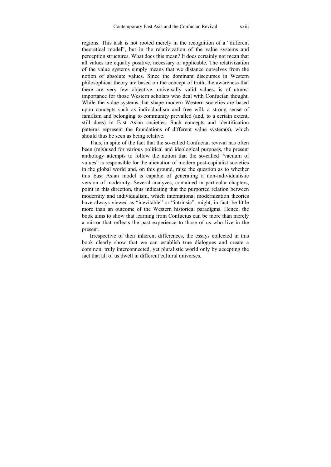regions. This task is not rooted merely in the recognition of a "different theoretical model", but in the relativization of the value systems and perception structures. What does this mean? It does certainly not mean that all values are equally positive, necessary or applicable. The relativization of the value systems simply means that we distance ourselves from the notion of absolute values. Since the dominant discourses in Western philosophical theory are based on the concept of truth, the awareness that there are very few objective, universally valid values, is of utmost importance for those Western scholars who deal with Confucian thought. While the value-systems that shape modern Western societies are based upon concepts such as individualism and free will, a strong sense of familism and belonging to community prevailed (and, to a certain extent, still does) in East Asian societies. Such concepts and identification patterns represent the foundations of different value system(s), which should thus be seen as being relative.

Thus, in spite of the fact that the so-called Confucian revival has often been (mis)used for various political and ideological purposes, the present anthology attempts to follow the notion that the so-called "vacuum of values" is responsible for the alienation of modern post-capitalist societies in the global world and, on this ground, raise the question as to whether this East Asian model is capable of generating a non-individualistic version of modernity. Several analyzes, contained in particular chapters, point in this direction, thus indicating that the purported relation between modernity and individualism, which international modernization theories have always viewed as "inevitable" or "intrinsic", might, in fact, be little more than an outcome of the Western historical paradigms. Hence, the book aims to show that learning from Confucius can be more than merely a mirror that reflects the past experience to those of us who live in the present.

Irrespective of their inherent differences, the essays collected in this book clearly show that we can establish true dialogues and create a common, truly interconnected, yet pluralistic world only by accepting the fact that all of us dwell in different cultural universes.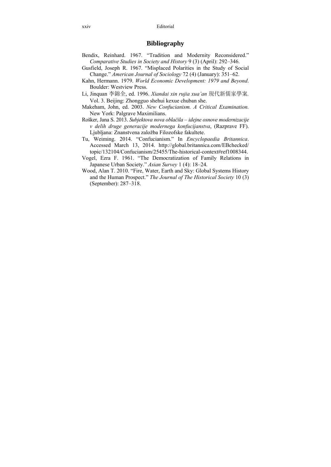#### xxiv Editorial

#### **Bibliography**

- Bendix, Reinhard. 1967. "Tradition and Modernity Reconsidered." *Comparative Studies in Society and History* 9 (3) (April): 292–346.
- Gusfield, Joseph R. 1967. "Misplaced Polarities in the Study of Social Change." *American Journal of Sociology* 72 (4) (January): 351–62.
- Kahn, Hermann. 1979. *World Economic Development: 1979 and Beyond*. Boulder: Westview Press.
- Li, Jinquan 李錦全, ed. 1996. *Xiandai xin rujia xua'an* 現代新儒家學案*.* Vol. 3. Beijing: Zhongguo shehui kexue chuban she.
- Makeham, John, ed. 2003. *New Confucianism. A Critical Examination.* New York: Palgrave Maximilians.
- Rošker, Jana S. 2013. *Subjektova nova oblačila idejne osnove modernizacije v delih druge generacije modernega konfucijanstva*, (Razprave FF). Ljubljana: Znanstvena založba Filozofske fakultete.
- Tu, Weiming. 2014. "Confucianism." In *Encyclopaedia Britannica*. Accessed March 13, 2014. http://global.britannica.com/EBchecked/ topic/132104/Confucianism/25455/The-historical-context#ref1008344.
- Vogel, Ezra F. 1961. "The Democratization of Family Relations in Japanese Urban Society." *Asian Survey* 1 (4): 18–24.
- Wood, Alan T. 2010. "Fire, Water, Earth and Sky: Global Systems History and the Human Prospect." *The Journal of The Historical Society* 10 (3) (September): 287–318.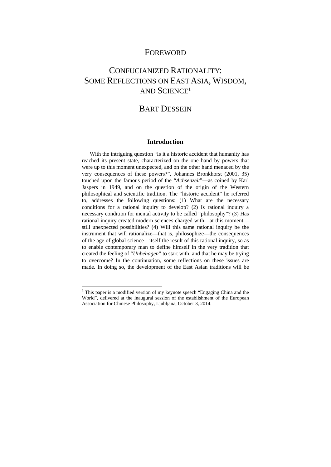## FOREWORD

## CONFUCIANIZED RATIONALITY: SOME REFLECTIONS ON EAST ASIA, WISDOM,  $AND$  SCIENCE<sup>1</sup>

## BART DESSEIN

#### **Introduction**

With the intriguing question "Is it a historic accident that humanity has reached its present state, characterized on the one hand by powers that were up to this moment unexpected, and on the other hand menaced by the very consequences of these powers?", Johannes Bronkhorst (2001, 35) touched upon the famous period of the "*Achsenzeit*"––as coined by Karl Jaspers in 1949, and on the question of the origin of the Western philosophical and scientific tradition. The "historic accident" he referred to, addresses the following questions: (1) What are the necessary conditions for a rational inquiry to develop? (2) Is rational inquiry a necessary condition for mental activity to be called "philosophy"? (3) Has rational inquiry created modern sciences charged with––at this moment–– still unexpected possibilities? (4) Will this same rational inquiry be the instrument that will rationalize––that is, philosophize––the consequences of the age of global science––itself the result of this rational inquiry, so as to enable contemporary man to define himself in the very tradition that created the feeling of "*Unbehagen*" to start with, and that he may be trying to overcome? In the continuation, some reflections on these issues are made. In doing so, the development of the East Asian traditions will be

 $\overline{a}$ 

<sup>&</sup>lt;sup>1</sup> This paper is a modified version of my keynote speech "Engaging China and the World", delivered at the inaugural session of the establishment of the European Association for Chinese Philosophy, Ljubljana, October 3, 2014.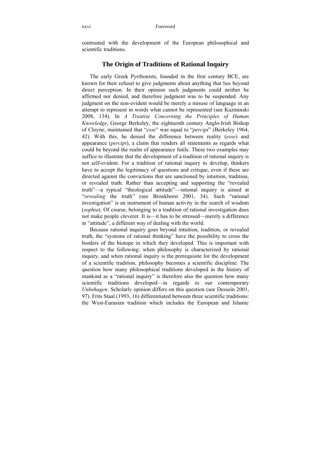contrasted with the development of the European philosophical and scientific traditions.

### **The Origin of Traditions of Rational Inquiry**

The early Greek Pyrrhonists, founded in the first century BCE, are known for their refusal to give judgments about anything that lies beyond direct perception. In their opinion such judgments could neither be affirmed nor denied, and therefore judgment was to be suspended. Any judgment on the non-evident would be merely a misuse of language in an attempt to represent in words what cannot be represented (see Kuzminski 2008, 134). In *A Treatise Concerning the Principles of Human Knowledge*, George Berkeley, the eighteenth century Anglo-Irish Bishop of Cloyne, maintained that "*esse*" was equal to "*percipi*" (Berkeley 1964, 42). With this, he denied the difference between reality (*esse*) and appearance (*percipi*), a claim that renders all statements as regards what could be beyond the realm of appearance futile. These two examples may suffice to illustrate that the development of a tradition of rational inquiry is not self-evident. For a tradition of rational inquiry to develop, thinkers have to accept the legitimacy of questions and critique, even if these are directed against the convictions that are sanctioned by intuition, tradition, or revealed truth. Rather than accepting and supporting the "revealed truth"––a typical "theological attitude"––rational inquiry is aimed at "*revealing* the truth" (see Bronkhorst 2001, 34). Such "rational investigation" is an instrument of human activity in the search of wisdom (*sophia*). Of course, belonging to a tradition of rational investigation does not make people cleverer. It is––it has to be stressed––merely a difference in "attitude", a different way of dealing with the world.

Because rational inquiry goes beyond intuition, tradition, or revealed truth, the "systems of rational thinking" have the possibility to cross the borders of the biotope in which they developed. This is important with respect to the following: when philosophy is characterized by rational inquiry, and when rational inquiry is the prerequisite for the development of a scientific tradition, philosophy becomes a scientific discipline. The question how many philosophical traditions developed in the history of mankind as a "rational inquiry" is therefore also the question how many scientific traditions developed––in regards to our contemporary *Unbehagen*. Scholarly opinion differs on this question (see Dessein 2001, 97). Frits Staal (1993, 16) differentiated between three scientific traditions: the West-Eurasian tradition which includes the European and Islamic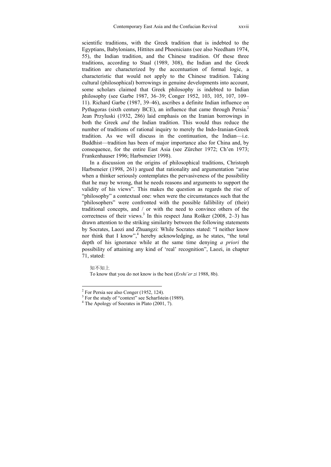scientific traditions, with the Greek tradition that is indebted to the Egyptians, Babylonians, Hittites and Phoenicians (see also Needham 1974, 55), the Indian tradition, and the Chinese tradition. Of these three traditions, according to Staal (1989, 308), the Indian and the Greek tradition are characterized by the accentuation of formal logic, a characteristic that would not apply to the Chinese tradition. Taking cultural (philosophical) borrowings in genuine developments into account, some scholars claimed that Greek philosophy is indebted to Indian philosophy (see Garbe 1987, 36–39; Conger 1952, 103, 105, 107, 109– 11). Richard Garbe (1987, 39–46), ascribes a definite Indian influence on Pythagoras (sixth century BCE), an influence that came through Persia.<sup>2</sup> Jean Przyluski (1932, 286) laid emphasis on the Iranian borrowings in both the Greek *and* the Indian tradition. This would thus reduce the number of traditions of rational inquiry to merely the Indo-Iranian-Greek tradition. As we will discuss in the continuation, the Indian––i.e. Buddhist––tradition has been of major importance also for China and, by consequence, for the entire East Asia (see Zürcher 1972; Ch'en 1973; Frankenhauser 1996; Harbsmeier 1998).

In a discussion on the origins of philosophical traditions, Christoph Harbsmeier (1998, 261) argued that rationality and argumentation "arise when a thinker seriously contemplates the pervasiveness of the possibility that he may be wrong, that he needs reasons and arguments to support the validity of his views". This makes the question as regards the rise of "philosophy" a contextual one: when were the circumstances such that the "philosophers" were confronted with the possible fallibility of (their) traditional concepts, and / or with the need to convince others of the correctness of their views.<sup>3</sup> In this respect Jana Rošker (2008, 2-3) has drawn attention to the striking similarity between the following statements by Socrates, Laozi and Zhuangzi: While Socrates stated: "I neither know nor think that I know",<sup>4</sup> hereby acknowledging, as he states, "the total depth of his ignorance while at the same time denying *a priori* the possibility of attaining any kind of 'real' recognition", Laozi, in chapter 71, stated:

知不知上

To know that you do not know is the best (*Ershi'er zi* 1988, 8b).

 2 For Persia see also Conger (1952, 124).

<sup>&</sup>lt;sup>3</sup> For the study of "context" see Scharfstein (1989).

<sup>4</sup> The Apology of Socrates in Plato (2001, 7).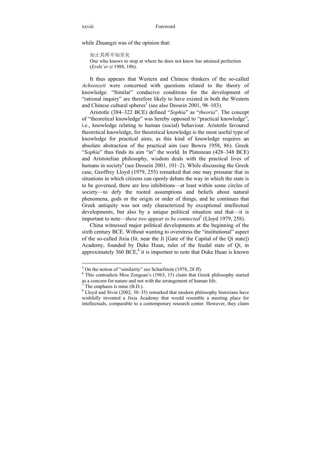while Zhuangzi was of the opinion that:

知止其所不知至矣 One who knows to stop at where he does not know has attained perfection (*Ershi'er zi* 1988, 18b).

It thus appears that Western and Chinese thinkers of the so-called *Achsenzeit* were concerned with questions related to the theory of knowledge. "Similar" conducive conditions for the development of "rational inquiry" are therefore likely to have existed in both the Western and Chinese cultural spheres<sup>5</sup> (see also Dessein 2001, 98–103).

Aristotle (384–322 BCE) defined "*Sophia*" as "*theoria*". The concept of "theoretical knowledge" was hereby opposed to "practical knowledge", i.e., knowledge relating to human (social) behaviour. Aristotle favoured theoretical knowledge, for theoretical knowledge is the most useful type of knowledge for practical aims, as this kind of knowledge requires an absolute abstraction of the practical aim (see Bowra 1958, 86). Greek "*Sophia*" thus finds its aim "in" the world. In Platonean (428–348 BCE) and Aristotelian philosophy, wisdom deals with the practical lives of humans in society<sup>6</sup> (see Dessein 2001, 101–2). While discussing the Greek case, Geoffrey Lloyd (1979, 255) remarked that one may presume that in situations in which citizens can openly debate the way in which the state is to be governed, there are less inhibitions––at least within some circles of society––to defy the rooted assumptions and beliefs about natural phenomena, gods or the origin or order of things, and he continues that Greek antiquity was not only characterized by exceptional intellectual developments, but also by a unique political situation and that—it is important to note—*these two appear to be connected*<sup>7</sup> (Lloyd 1979, 258).

China witnessed major political developments at the beginning of the sixth century BCE. Without wanting to overstress the "institutional" aspect of the so-called Jixia (lit. near the Ji [Gate of the Capital of the Qi state]) Academy, founded by Duke Huan, ruler of the feudal state of Qi, in approximately  $360$  BCE,<sup>8</sup> it is important to note that Duke Huan is known

 $^5$  On the notion of "similarity" see Scharfstein (1978, 28 ff).<br>  $^6$  This contradicts Mou Zongsan's (1963, 15) claim that Gr

 $6$  This contradicts Mou Zongsan's (1963, 15) claim that Greek philosophy started as a concern for nature and not with the arrangement of human life.

 $<sup>7</sup>$  The emphasis is mine (B.D.).</sup>

 $8$  Lloyd and Sivin (2002, 30–35) remarked that modern philosophy historians have wishfully invented a Jixia Academy that would resemble a meeting place for intellectuals, comparable to a contemporary research center. However, they claim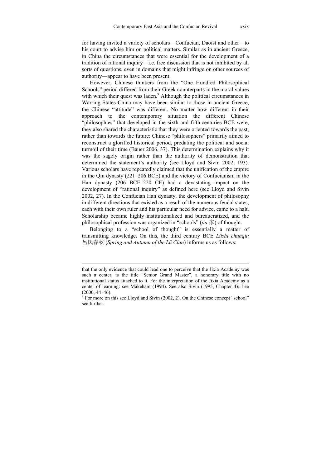for having invited a variety of scholars––Confucian, Daoist and other––to his court to advise him on political matters. Similar as in ancient Greece in China the circumstances that were essential for the development of a tradition of rational inquiry––i.e. free discussion that is not inhibited by all sorts of questions, even in domains that might infringe on other sources of authority––appear to have been present.

However, Chinese thinkers from the "One Hundred Philosophical Schools" period differed from their Greek counterparts in the moral values with which their quest was laden.<sup>9</sup> Although the political circumstances in Warring States China may have been similar to those in ancient Greece, the Chinese "attitude" was different. No matter how different in their approach to the contemporary situation the different Chinese "philosophies" that developed in the sixth and fifth centuries BCE were, they also shared the characteristic that they were oriented towards the past, rather than towards the future: Chinese "philosophers" primarily aimed to reconstruct a glorified historical period, predating the political and social turmoil of their time (Bauer 2006, 37). This determination explains why it was the sagely origin rather than the authority of demonstration that determined the statement's authority (see Lloyd and Sivin 2002, 193). Various scholars have repeatedly claimed that the unification of the empire in the Qin dynasty (221–206 BCE) and the victory of Confucianism in the Han dynasty (206 BCE–220 CE) had a devastating impact on the development of "rational inquiry" as defined here (see Lloyd and Sivin 2002, 27). In the Confucian Han dynasty, the development of philosophy in different directions that existed as a result of the numerous feudal states, each with their own ruler and his particular need for advice, came to a halt. Scholarship became highly institutionalized and bureaucratized, and the philosophical profession was organized in "schools" (*jia* 家) of thought.

Belonging to a "school of thought" is essentially a matter of transmitting knowledge. On this, the third century BCE *Lüshi chunqiu* 呂氏春秋 (*Spring and Autumn of the Lü Clan*) informs us as follows:

 $\overline{a}$ 

that the only evidence that could lead one to perceive that the Jixia Academy was such a center, is the title "Senior Grand Master", a honorary title with no institutional status attached to it. For the interpretation of the Jixia Academy as a center of learning: see Makeham (1994). See also Sivin (1995, Chapter 4); Lee (2000, 44–46).

 $9^9$  For more on this see Lloyd and Sivin (2002, 2). On the Chinese concept "school" see further.